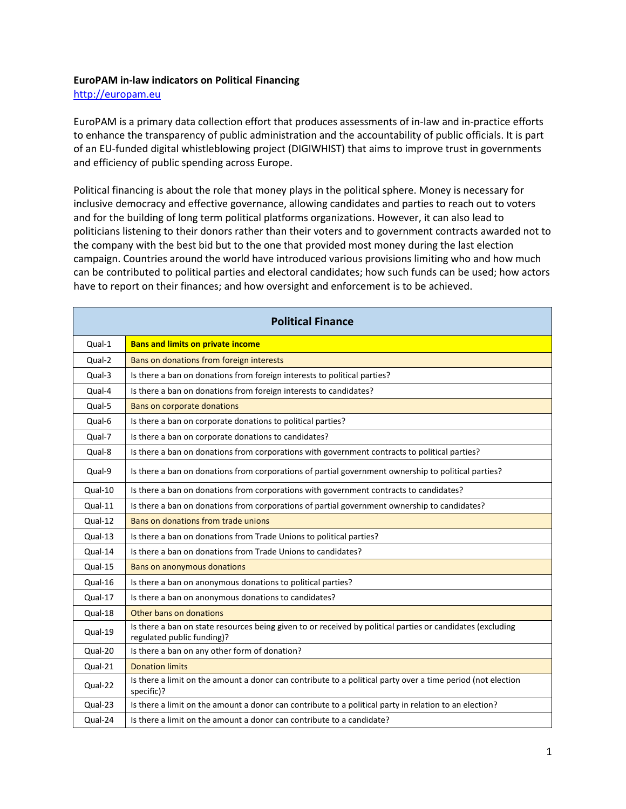## **EuroPAM in-law indicators on Political Financing**

[http://europam.eu](http://europam.eu/)

EuroPAM is a primary data collection effort that produces assessments of in-law and in-practice efforts to enhance the transparency of public administration and the accountability of public officials. It is part of an EU-funded digital whistleblowing project (DIGIWHIST) that aims to improve trust in governments and efficiency of public spending across Europe.

Political financing is about the role that money plays in the political sphere. Money is necessary for inclusive democracy and effective governance, allowing candidates and parties to reach out to voters and for the building of long term political platforms organizations. However, it can also lead to politicians listening to their donors rather than their voters and to government contracts awarded not to the company with the best bid but to the one that provided most money during the last election campaign. Countries around the world have introduced various provisions limiting who and how much can be contributed to political parties and electoral candidates; how such funds can be used; how actors have to report on their finances; and how oversight and enforcement is to be achieved.

| <b>Political Finance</b> |                                                                                                                                          |  |
|--------------------------|------------------------------------------------------------------------------------------------------------------------------------------|--|
| Qual-1                   | <b>Bans and limits on private income</b>                                                                                                 |  |
| Qual-2                   | Bans on donations from foreign interests                                                                                                 |  |
| Qual-3                   | Is there a ban on donations from foreign interests to political parties?                                                                 |  |
| Qual-4                   | Is there a ban on donations from foreign interests to candidates?                                                                        |  |
| Qual-5                   | Bans on corporate donations                                                                                                              |  |
| Qual-6                   | Is there a ban on corporate donations to political parties?                                                                              |  |
| Qual-7                   | Is there a ban on corporate donations to candidates?                                                                                     |  |
| Qual-8                   | Is there a ban on donations from corporations with government contracts to political parties?                                            |  |
| Qual-9                   | Is there a ban on donations from corporations of partial government ownership to political parties?                                      |  |
| Qual-10                  | Is there a ban on donations from corporations with government contracts to candidates?                                                   |  |
| Qual-11                  | Is there a ban on donations from corporations of partial government ownership to candidates?                                             |  |
| Qual-12                  | Bans on donations from trade unions                                                                                                      |  |
| Qual-13                  | Is there a ban on donations from Trade Unions to political parties?                                                                      |  |
| Qual-14                  | Is there a ban on donations from Trade Unions to candidates?                                                                             |  |
| Qual-15                  | <b>Bans on anonymous donations</b>                                                                                                       |  |
| Qual-16                  | Is there a ban on anonymous donations to political parties?                                                                              |  |
| Qual-17                  | Is there a ban on anonymous donations to candidates?                                                                                     |  |
| Qual-18                  | Other bans on donations                                                                                                                  |  |
| Qual-19                  | Is there a ban on state resources being given to or received by political parties or candidates (excluding<br>regulated public funding)? |  |
| Qual-20                  | Is there a ban on any other form of donation?                                                                                            |  |
| Qual-21                  | <b>Donation limits</b>                                                                                                                   |  |
| Qual-22                  | Is there a limit on the amount a donor can contribute to a political party over a time period (not election<br>specific)?                |  |
| Qual-23                  | Is there a limit on the amount a donor can contribute to a political party in relation to an election?                                   |  |
| Qual-24                  | Is there a limit on the amount a donor can contribute to a candidate?                                                                    |  |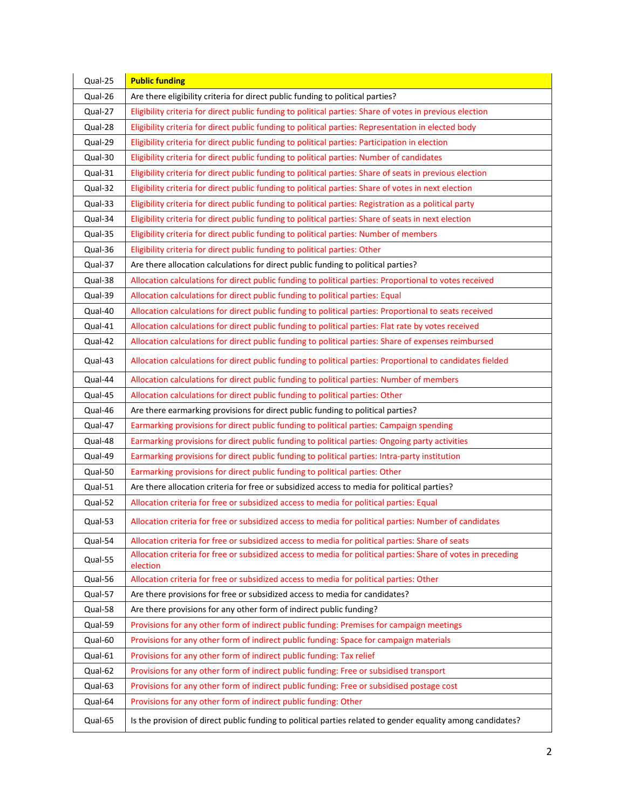| Qual-25 | <b>Public funding</b>                                                                                                     |
|---------|---------------------------------------------------------------------------------------------------------------------------|
| Qual-26 | Are there eligibility criteria for direct public funding to political parties?                                            |
| Qual-27 | Eligibility criteria for direct public funding to political parties: Share of votes in previous election                  |
| Qual-28 | Eligibility criteria for direct public funding to political parties: Representation in elected body                       |
| Qual-29 | Eligibility criteria for direct public funding to political parties: Participation in election                            |
| Qual-30 | Eligibility criteria for direct public funding to political parties: Number of candidates                                 |
| Qual-31 | Eligibility criteria for direct public funding to political parties: Share of seats in previous election                  |
| Qual-32 | Eligibility criteria for direct public funding to political parties: Share of votes in next election                      |
| Qual-33 | Eligibility criteria for direct public funding to political parties: Registration as a political party                    |
| Qual-34 | Eligibility criteria for direct public funding to political parties: Share of seats in next election                      |
| Qual-35 | Eligibility criteria for direct public funding to political parties: Number of members                                    |
| Qual-36 | Eligibility criteria for direct public funding to political parties: Other                                                |
| Qual-37 | Are there allocation calculations for direct public funding to political parties?                                         |
| Qual-38 | Allocation calculations for direct public funding to political parties: Proportional to votes received                    |
| Qual-39 | Allocation calculations for direct public funding to political parties: Equal                                             |
| Qual-40 | Allocation calculations for direct public funding to political parties: Proportional to seats received                    |
| Qual-41 | Allocation calculations for direct public funding to political parties: Flat rate by votes received                       |
| Qual-42 | Allocation calculations for direct public funding to political parties: Share of expenses reimbursed                      |
| Qual-43 | Allocation calculations for direct public funding to political parties: Proportional to candidates fielded                |
| Qual-44 | Allocation calculations for direct public funding to political parties: Number of members                                 |
| Qual-45 | Allocation calculations for direct public funding to political parties: Other                                             |
|         |                                                                                                                           |
| Qual-46 | Are there earmarking provisions for direct public funding to political parties?                                           |
| Qual-47 | Earmarking provisions for direct public funding to political parties: Campaign spending                                   |
| Qual-48 | Earmarking provisions for direct public funding to political parties: Ongoing party activities                            |
| Qual-49 | Earmarking provisions for direct public funding to political parties: Intra-party institution                             |
| Qual-50 | Earmarking provisions for direct public funding to political parties: Other                                               |
| Qual-51 | Are there allocation criteria for free or subsidized access to media for political parties?                               |
| Qual-52 | Allocation criteria for free or subsidized access to media for political parties: Equal                                   |
| Qual-53 | Allocation criteria for free or subsidized access to media for political parties: Number of candidates                    |
| Qual-54 | Allocation criteria for free or subsidized access to media for political parties: Share of seats                          |
| Qual-55 | Allocation criteria for free or subsidized access to media for political parties: Share of votes in preceding<br>election |
| Qual-56 | Allocation criteria for free or subsidized access to media for political parties: Other                                   |
| Qual-57 | Are there provisions for free or subsidized access to media for candidates?                                               |
| Qual-58 | Are there provisions for any other form of indirect public funding?                                                       |
| Qual-59 | Provisions for any other form of indirect public funding: Premises for campaign meetings                                  |
| Qual-60 | Provisions for any other form of indirect public funding: Space for campaign materials                                    |
| Qual-61 | Provisions for any other form of indirect public funding: Tax relief                                                      |
| Qual-62 | Provisions for any other form of indirect public funding: Free or subsidised transport                                    |
| Qual-63 | Provisions for any other form of indirect public funding: Free or subsidised postage cost                                 |
| Qual-64 | Provisions for any other form of indirect public funding: Other                                                           |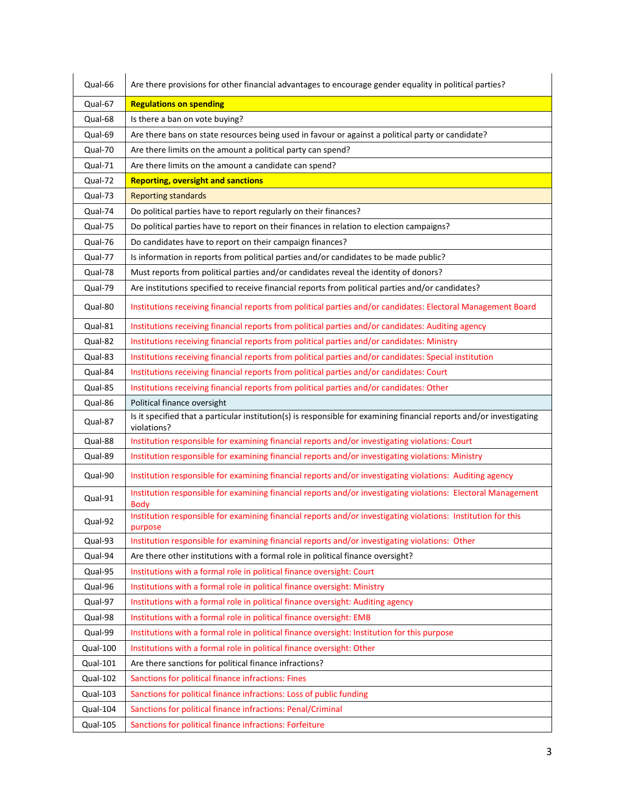| Qual-66  | Are there provisions for other financial advantages to encourage gender equality in political parties?                              |
|----------|-------------------------------------------------------------------------------------------------------------------------------------|
| Qual-67  | <b>Regulations on spending</b>                                                                                                      |
| Qual-68  | Is there a ban on vote buying?                                                                                                      |
| Qual-69  | Are there bans on state resources being used in favour or against a political party or candidate?                                   |
| Qual-70  | Are there limits on the amount a political party can spend?                                                                         |
| Qual-71  | Are there limits on the amount a candidate can spend?                                                                               |
| Qual-72  | <b>Reporting, oversight and sanctions</b>                                                                                           |
| Qual-73  | <b>Reporting standards</b>                                                                                                          |
| Qual-74  | Do political parties have to report regularly on their finances?                                                                    |
| Qual-75  | Do political parties have to report on their finances in relation to election campaigns?                                            |
| Qual-76  | Do candidates have to report on their campaign finances?                                                                            |
| Qual-77  | Is information in reports from political parties and/or candidates to be made public?                                               |
| Qual-78  | Must reports from political parties and/or candidates reveal the identity of donors?                                                |
| Qual-79  | Are institutions specified to receive financial reports from political parties and/or candidates?                                   |
| Qual-80  | Institutions receiving financial reports from political parties and/or candidates: Electoral Management Board                       |
| Qual-81  | Institutions receiving financial reports from political parties and/or candidates: Auditing agency                                  |
| Qual-82  | Institutions receiving financial reports from political parties and/or candidates: Ministry                                         |
| Qual-83  | Institutions receiving financial reports from political parties and/or candidates: Special institution                              |
| Qual-84  | Institutions receiving financial reports from political parties and/or candidates: Court                                            |
| Qual-85  | Institutions receiving financial reports from political parties and/or candidates: Other                                            |
| Qual-86  | Political finance oversight                                                                                                         |
| Qual-87  | Is it specified that a particular institution(s) is responsible for examining financial reports and/or investigating<br>violations? |
| Qual-88  | Institution responsible for examining financial reports and/or investigating violations: Court                                      |
| Qual-89  | Institution responsible for examining financial reports and/or investigating violations: Ministry                                   |
| Qual-90  | Institution responsible for examining financial reports and/or investigating violations: Auditing agency                            |
| Qual-91  | Institution responsible for examining financial reports and/or investigating violations: Electoral Management<br><b>Body</b>        |
| Qual-92  | Institution responsible for examining financial reports and/or investigating violations: Institution for this<br>purpose            |
| Qual-93  | Institution responsible for examining financial reports and/or investigating violations: Other                                      |
| Qual-94  | Are there other institutions with a formal role in political finance oversight?                                                     |
| Qual-95  | Institutions with a formal role in political finance oversight: Court                                                               |
| Qual-96  | Institutions with a formal role in political finance oversight: Ministry                                                            |
| Qual-97  | Institutions with a formal role in political finance oversight: Auditing agency                                                     |
| Qual-98  | Institutions with a formal role in political finance oversight: EMB                                                                 |
| Qual-99  | Institutions with a formal role in political finance oversight: Institution for this purpose                                        |
| Qual-100 | Institutions with a formal role in political finance oversight: Other                                                               |
| Qual-101 | Are there sanctions for political finance infractions?                                                                              |
| Qual-102 | Sanctions for political finance infractions: Fines                                                                                  |
| Qual-103 | Sanctions for political finance infractions: Loss of public funding                                                                 |
| Qual-104 | Sanctions for political finance infractions: Penal/Criminal                                                                         |
| Qual-105 | Sanctions for political finance infractions: Forfeiture                                                                             |